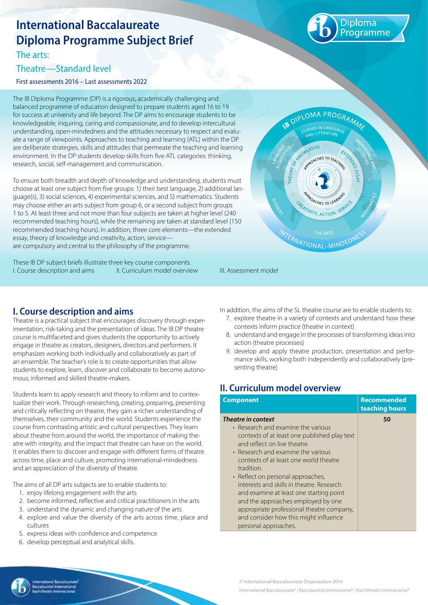# **International Baccalaureate Diploma Programme Subject Brief**

The arts:

## Theatre—Standard level

First assessments 2016 – Last assessments 2022

The IB Diploma Programme (DP) is a rigorous, academically challenging and balanced programme of education designed to prepare students aged 16 to 19 for success at university and life beyond. The DP aims to encourage students to be knowledgeable, inquiring, caring and compassionate, and to develop intercultural understanding, open-mindedness and the attitudes necessary to respect and evaluate a range of viewpoints. Approaches to teaching and learning (ATL) within the DP are deliberate strategies, skills and attitudes that permeate the teaching and learning environment. In the DP students develop skills from five ATL categories: thinking, research, social, self-management and communication.

To ensure both breadth and depth of knowledge and understanding, students must choose at least one subject from five groups: 1) their best language, 2) additional language(s), 3) social sciences, 4) experimental sciences, and 5) mathematics. Students may choose either an arts subject from group 6, or a second subject from groups 1 to 5. At least three and not more than four subjects are taken at higher level (240 recommended teaching hours), while the remaining are taken at standard level (150 recommended teaching hours). In addition, three core elements—the extended essay, theory of knowledge and creativity, action, service are compulsory and central to the philosophy of the programme.

These IB DP subject briefs illustrate three key course components. I. Course description and aims II. Curriculum model overview III. Assessment model



iploma ogramme

## **I. Course description and aims**

Theatre is a practical subject that encourages discovery through experimentation, risk-taking and the presentation of ideas. The IB DP theatre course is multifaceted and gives students the opportunity to actively engage in theatre as creators, designers, directors and performers. It emphasizes working both individually and collaboratively as part of an ensemble. The teacher's role is to create opportunities that allow students to explore, learn, discover and collaborate to become autonomous, informed and skilled theatre-makers.

Students learn to apply research and theory to inform and to contextualize their work. Through researching, creating, preparing, presenting and critically reflecting on theatre, they gain a richer understanding of themselves, their community and the world. Students experience the course from contrasting artistic and cultural perspectives. They learn about theatre from around the world, the importance of making theatre with integrity, and the impact that theatre can have on the world. It enables them to discover and engage with different forms of theatre across time, place and culture, promoting international-mindedness and an appreciation of the diversity of theatre.

The aims of all DP arts subjects are to enable students to:

- 1. enjoy lifelong engagement with the arts
- 2. become informed, reflective and critical practitioners in the arts
- 3. understand the dynamic and changing nature of the arts
- 4. explore and value the diversity of the arts across time, place and cultures
- 5. express ideas with confidence and competence
- 6. develop perceptual and analytical skills.

In addition, the aims of the SL theatre course are to enable students to:

- 7. explore theatre in a variety of contexts and understand how these contexts inform practice (theatre in context)
- 8. understand and engage in the processes of transforming ideas into action (theatre processes)
- 9. develop and apply theatre production, presentation and performance skills, working both independently and collaboratively (presenting theatre)

# **II. Curriculum model overview**

| <b>Component</b>                                                                                                                                                                                                                                                                                                                                                                                                                                                                                                        | <b>Recommended</b><br>teaching hours |
|-------------------------------------------------------------------------------------------------------------------------------------------------------------------------------------------------------------------------------------------------------------------------------------------------------------------------------------------------------------------------------------------------------------------------------------------------------------------------------------------------------------------------|--------------------------------------|
| Theatre in context<br>• Research and examine the various<br>contexts of at least one published play text<br>and reflect on live theatre.<br>• Research and examine the various<br>contexts of at least one world theatre<br>tradition.<br>• Reflect on personal approaches,<br>interests and skills in theatre. Research<br>and examine at least one starting point<br>and the approaches employed by one<br>appropriate professional theatre company,<br>and consider how this might influence<br>personal approaches. | 50                                   |



© International Baccalaureate Organization 2014